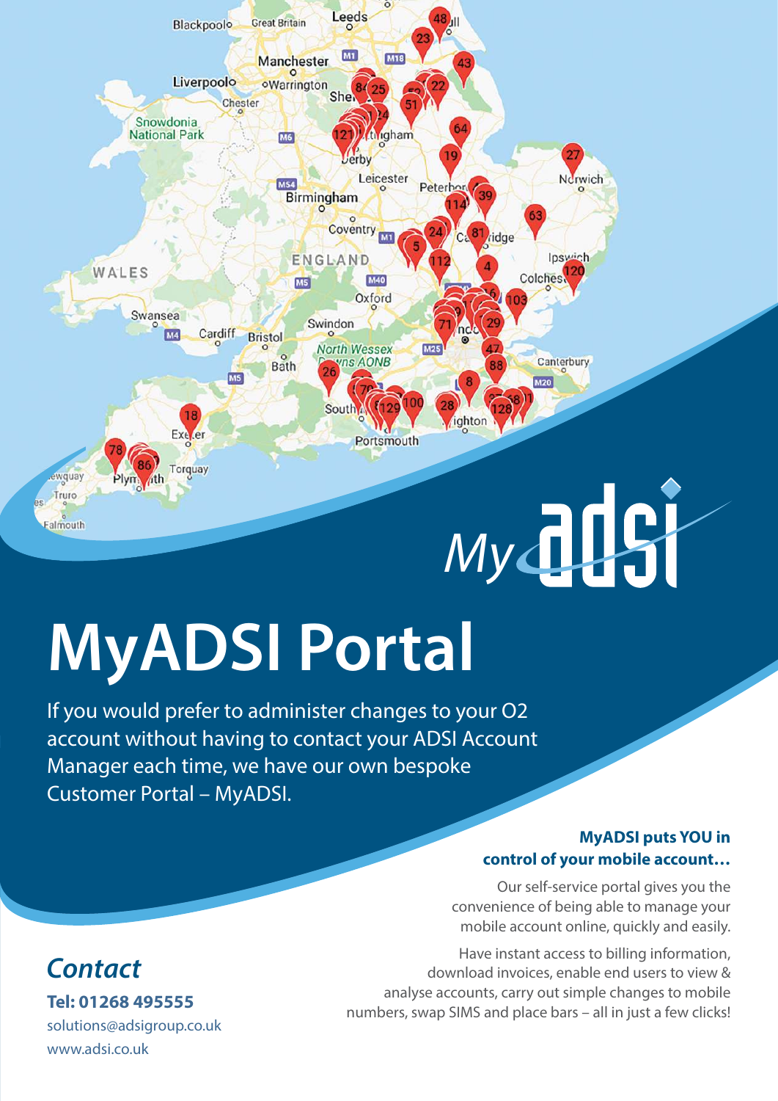

# **MyADSI Portal**

If you would prefer to administer changes to your O2 account without having to contact your ADSI Account Manager each time, we have our own bespoke Customer Portal – MyADSI.

#### **MyADSI puts YOU in control of your mobile account…**

Our self-service portal gives you the convenience of being able to manage your mobile account online, quickly and easily.

Have instant access to billing information, download invoices, enable end users to view & analyse accounts, carry out simple changes to mobile numbers, swap SIMS and place bars – all in just a few clicks!

### **Tel: 01268 495555 Contact**

solutions@adsigroup.co.uk www.adsi.co.uk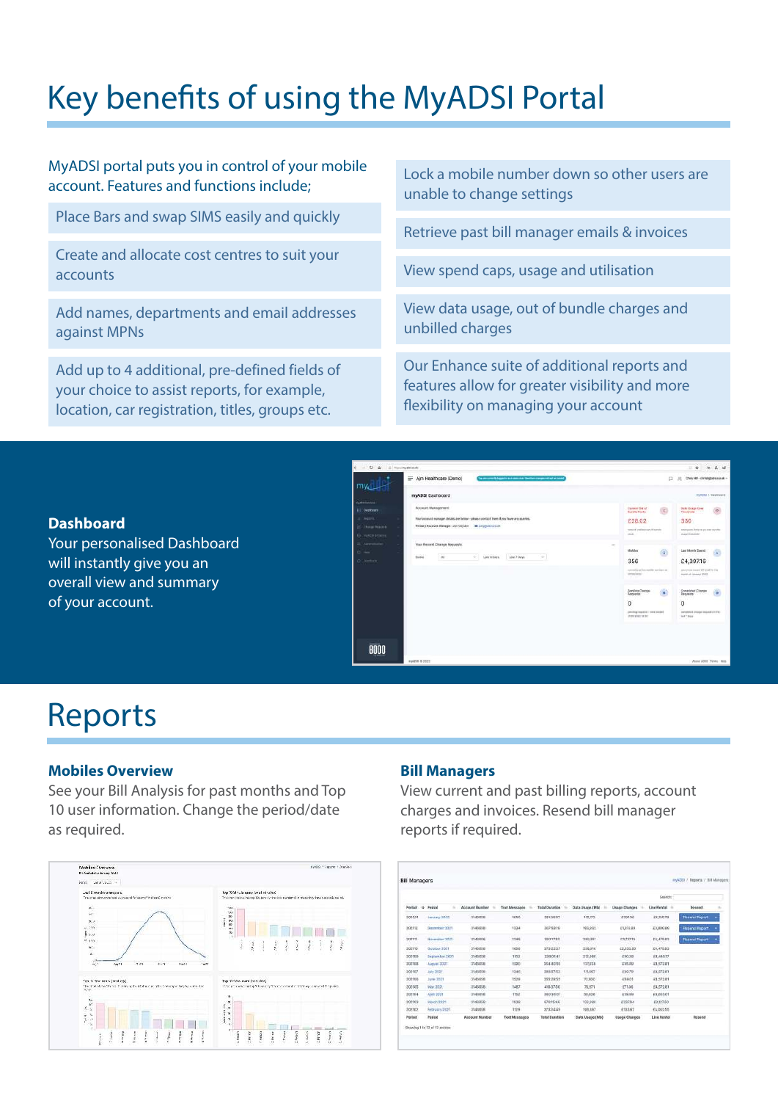### Key benefits of using the MyADSI Portal

| MyADSI portal puts you in control of your mobile          | Lock a mobile number down so other users are   |
|-----------------------------------------------------------|------------------------------------------------|
| account. Features and functions include;                  | unable to change settings                      |
| Place Bars and swap SIMS easily and quickly               | Retrieve past bill manager emails & invoices   |
| Create and allocate cost centres to suit your<br>accounts | View spend caps, usage and utilisation         |
| Add names, departments and email addresses                | View data usage, out of bundle charges and     |
| against MPNs                                              | unbilled charges                               |
| Add up to 4 additional, pre-defined fields of             | Our Enhance suite of additional reports and    |
| your choice to assist reports, for example,               | features allow for greater visibility and more |
| location, car registration, titles, groups etc.           | flexibility on managing your account           |
|                                                           |                                                |

#### **Dashboard**

Your personalised Dashboard will instantly give you an overall view and summary of your account.



### Reports

#### **Mobiles Overview**

See your Bill Analysis for past months and Top 10 user information. Change the period/date as required.



#### **Bill Managers**

View current and past billing reports, account charges and invoices. Resend bill manager reports if required.

| <b>Bill Managers</b> |                   |                       |                      |                       |                  |                      |                   | myASSI / Reports / Bill Managers |   |
|----------------------|-------------------|-----------------------|----------------------|-----------------------|------------------|----------------------|-------------------|----------------------------------|---|
|                      |                   |                       |                      |                       |                  |                      | Search:           |                                  |   |
| Pariod 4             | Period<br>u       | Account Number        | Text Messages =      | Total Duration        | Data Usage (Mb)  | <b>Usage Charges</b> | Line Rental : iii | <b>Roservil</b>                  |   |
| 202201               | January 2022      | 2143058               | 1010                 | 2812037               | 135,123          | 0201.30              | 24.105.74         | <b>Resent Tagort</b>             |   |
| 102112               | Banerber 2021     | 3143016               | 1334                 | 367:58:19             | 183,932          | 4333.83              | E3,800.88         | <b>Resent Report</b>             |   |
| 202311               | November 2021     | 3143058               | 1348                 | 350.17.52             | 280,351          | 83,72730             | E4.475.83         | <b>Resend Report</b>             | ٠ |
| 302110               | October 2021      | 3143058               | 1656                 | 373/22/27             | 238,018          | £2,332.90            | 24,475,83         |                                  |   |
| 202109               | September 2031    | 3143056               | 1162                 | 359:01:45             | 212,000          | 480.20               | Z4.449.17         |                                  |   |
| 102103               | August 2021       | 3143058               | 1290                 | 354140190             | 137,628          | 3,05,207             | Z4.572.III        |                                  |   |
| 302107               | <b>July 2021</b>  | 3543058               | 1346                 | 388:57:53             | 111.007          | 100.79               | 24.572.81         |                                  |   |
| 202108               | June 3021         | 3143058               | 1528                 | 355:29:55             | 72,600           | 4103.01              | Z4,573.B1         |                                  |   |
| 202105               | May 2021          | 3143018               | 1487                 | 416:37:56             | 76,671           | £71.06               | 24,572.81         |                                  |   |
| 202104               | <b>April 2023</b> | 3343058               | 1152                 | 300:30:01             | 58,638           | <b>ATO 00</b>        | 64,603.01         |                                  |   |
| 202103               | March 2021        | 3143058               | 1938                 | 678:15:46             | 132,960          | £237.64              | ER127.60          |                                  |   |
| 202102               | February 2021     | 3343058               | 1129                 | 373:94:49             | 106,667          | 4133.67              | EA062.55          |                                  |   |
| Pariodi              | Period            | <b>Ascount Number</b> | <b>Toxt Messages</b> | <b>Total Doration</b> | Data Usage (Mtd. | <b>Usage Charges</b> | Line Rental       | Resend                           |   |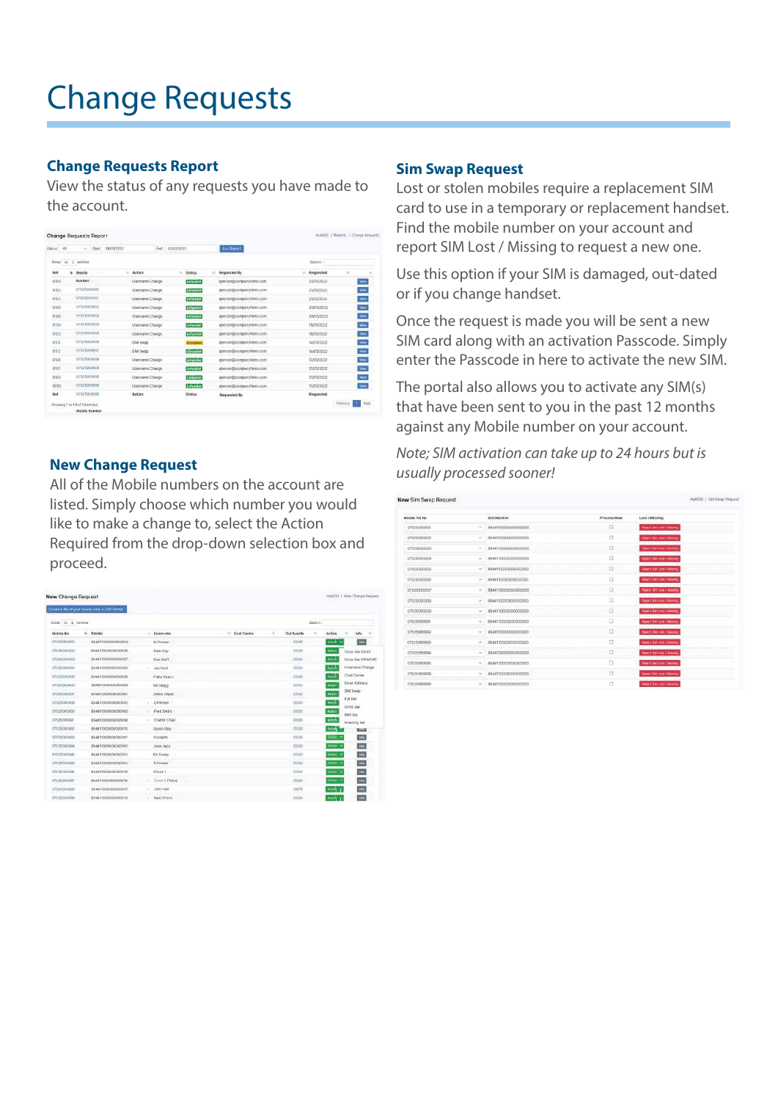## Change Requests

#### **Change Requests Report**

View the status of any requests you have made to the account.

| Show in a lections.<br>Search<br>- Action<br><b>Requested By</b><br>$\lambda$<br>4 Monate<br><b>Status</b><br>- Requested<br>$\sim$<br><b>Humber</b><br>Enriquebet<br>23/01/2022<br>Llientame Chimps:<br>aperion@companyOemo.com<br>IIP819000000<br><b>Silversine</b><br>Userstmy Change<br>aperson@company@emo.com<br>23/01/2022<br>107825000001<br>competent<br>Litername Chiespe<br>aperSon@company/ferro.com<br>25/05/2022<br>07625060002<br><b>Linkweiser</b><br>Usemarra Change<br><b>JOANN/2022</b><br>apoison@conpanySenro.com<br>07521000000<br><b>Entrywing</b><br>Uservanne Churchi<br>apersonabcompanysteriout on-<br>20/01/2022<br>II7575000004<br><b><i><u>STERANC</u></i></b><br>19/0 V3022<br>Username Change<br>aporson@company#emo.com<br>CONTRACTOR<br><b>ENFICATING</b><br><b>Username Change</b><br>ager son docompany viennous ent.<br>180010022<br>07525000000<br>14101/2022<br>EBA Gwan<br>specion@compacy@emo.com<br>in progress)<br>07525000007<br>distant<br>ERA Swide<br>specialization plentification<br>14/01/2022<br>UZSZSIALDZEN<br>intente<br>Unevance Change<br>13/03/2022<br>spensor@company@eno.com<br>07525000000<br><b>LOPONIAE</b><br><b>Ulaerrame Chevox</b><br>T335V2522<br>ables and Elocations y Campuccer.<br>07525000000<br>zaiduteke<br>Ularmanic Change:<br>T380V3022<br>apseutorghoompiery0eren.com<br>07525000088<br><b>Education</b><br>1335373522<br><b>Useniams Charge</b><br>apseure@companyDenne.com<br>02525000080 |                |                  | <b>But Teppli</b> | Ext 120002022 |        | Start 08/09/2022 | u. | Status 44   |
|---------------------------------------------------------------------------------------------------------------------------------------------------------------------------------------------------------------------------------------------------------------------------------------------------------------------------------------------------------------------------------------------------------------------------------------------------------------------------------------------------------------------------------------------------------------------------------------------------------------------------------------------------------------------------------------------------------------------------------------------------------------------------------------------------------------------------------------------------------------------------------------------------------------------------------------------------------------------------------------------------------------------------------------------------------------------------------------------------------------------------------------------------------------------------------------------------------------------------------------------------------------------------------------------------------------------------------------------------------------------------------------------------------------------------------------------------------------------------|----------------|------------------|-------------------|---------------|--------|------------------|----|-------------|
| 153.<br>315.3<br><b>D134</b><br>\$125<br><b>BYLD</b><br>23301<br>9029                                                                                                                                                                                                                                                                                                                                                                                                                                                                                                                                                                                                                                                                                                                                                                                                                                                                                                                                                                                                                                                                                                                                                                                                                                                                                                                                                                                                     |                |                  |                   |               |        |                  |    |             |
| \$152<br>2343<br>3133<br>317.3<br>2112<br>4100                                                                                                                                                                                                                                                                                                                                                                                                                                                                                                                                                                                                                                                                                                                                                                                                                                                                                                                                                                                                                                                                                                                                                                                                                                                                                                                                                                                                                            |                |                  |                   |               |        |                  |    | Ref         |
|                                                                                                                                                                                                                                                                                                                                                                                                                                                                                                                                                                                                                                                                                                                                                                                                                                                                                                                                                                                                                                                                                                                                                                                                                                                                                                                                                                                                                                                                           | Ver.           |                  |                   |               |        |                  |    |             |
|                                                                                                                                                                                                                                                                                                                                                                                                                                                                                                                                                                                                                                                                                                                                                                                                                                                                                                                                                                                                                                                                                                                                                                                                                                                                                                                                                                                                                                                                           | <b>View</b>    |                  |                   |               |        |                  |    |             |
|                                                                                                                                                                                                                                                                                                                                                                                                                                                                                                                                                                                                                                                                                                                                                                                                                                                                                                                                                                                                                                                                                                                                                                                                                                                                                                                                                                                                                                                                           | <b>Vine</b>    |                  |                   |               |        |                  |    |             |
|                                                                                                                                                                                                                                                                                                                                                                                                                                                                                                                                                                                                                                                                                                                                                                                                                                                                                                                                                                                                                                                                                                                                                                                                                                                                                                                                                                                                                                                                           | Ver            |                  |                   |               |        |                  |    |             |
|                                                                                                                                                                                                                                                                                                                                                                                                                                                                                                                                                                                                                                                                                                                                                                                                                                                                                                                                                                                                                                                                                                                                                                                                                                                                                                                                                                                                                                                                           | $\overline{y}$ |                  |                   |               |        |                  |    |             |
|                                                                                                                                                                                                                                                                                                                                                                                                                                                                                                                                                                                                                                                                                                                                                                                                                                                                                                                                                                                                                                                                                                                                                                                                                                                                                                                                                                                                                                                                           | <b>Van</b>     |                  |                   |               |        |                  |    |             |
|                                                                                                                                                                                                                                                                                                                                                                                                                                                                                                                                                                                                                                                                                                                                                                                                                                                                                                                                                                                                                                                                                                                                                                                                                                                                                                                                                                                                                                                                           | <b>Tire</b>    |                  |                   |               |        |                  |    |             |
|                                                                                                                                                                                                                                                                                                                                                                                                                                                                                                                                                                                                                                                                                                                                                                                                                                                                                                                                                                                                                                                                                                                                                                                                                                                                                                                                                                                                                                                                           | Ve.            |                  |                   |               |        |                  |    |             |
|                                                                                                                                                                                                                                                                                                                                                                                                                                                                                                                                                                                                                                                                                                                                                                                                                                                                                                                                                                                                                                                                                                                                                                                                                                                                                                                                                                                                                                                                           | Yes.           |                  |                   |               |        |                  |    |             |
|                                                                                                                                                                                                                                                                                                                                                                                                                                                                                                                                                                                                                                                                                                                                                                                                                                                                                                                                                                                                                                                                                                                                                                                                                                                                                                                                                                                                                                                                           | -Vew           |                  |                   |               |        |                  |    |             |
|                                                                                                                                                                                                                                                                                                                                                                                                                                                                                                                                                                                                                                                                                                                                                                                                                                                                                                                                                                                                                                                                                                                                                                                                                                                                                                                                                                                                                                                                           | <b>Mey</b>     |                  |                   |               |        |                  |    |             |
|                                                                                                                                                                                                                                                                                                                                                                                                                                                                                                                                                                                                                                                                                                                                                                                                                                                                                                                                                                                                                                                                                                                                                                                                                                                                                                                                                                                                                                                                           | Vée            |                  |                   |               |        |                  |    |             |
|                                                                                                                                                                                                                                                                                                                                                                                                                                                                                                                                                                                                                                                                                                                                                                                                                                                                                                                                                                                                                                                                                                                                                                                                                                                                                                                                                                                                                                                                           | Von            |                  |                   |               |        |                  |    |             |
| 29923                                                                                                                                                                                                                                                                                                                                                                                                                                                                                                                                                                                                                                                                                                                                                                                                                                                                                                                                                                                                                                                                                                                                                                                                                                                                                                                                                                                                                                                                     |                | <b>Requested</b> | Requested By      | <b>Status</b> | Action |                  |    | <b>Dall</b> |

#### **New Change Request**

All of the Mobile numbers on the account are listed. Simply choose which number you would like to make a change to, select the Action Required from the drop-down selection box and proceed.

| New Change Request | Create a file of your devroy data in 15W formal |        |                      |             |                |               |         |                | myADSI J. New Change Fernest    |
|--------------------|-------------------------------------------------|--------|----------------------|-------------|----------------|---------------|---------|----------------|---------------------------------|
| Show II a written  |                                                 |        |                      |             |                |               | Seaton: |                |                                 |
| Mcbile No.         | # Sim No                                        |        | - Username           | Cost Centre | $\overline{a}$ | Out Bundle    | ٠       | Action         | Info<br>$\sim$                  |
| 03125300001        | 854411000000000004                              |        | M Person             |             |                | coop          |         | Add +          | s'es                            |
| 02525000002        | R94411000000000000                              |        | Met: Day.            |             |                | coco          |         | Arko           | Other Bar (ADD)                 |
| 07525100000        | \$94411000000000007                             |        | <b>Sam Staff</b>     |             |                | <b>Łt</b> rou |         | <b>REGIST</b>  | Direction (REMOVE)              |
| 07529000004        | 89441000000000000                               |        | Jon Pord             |             |                | 00.00         |         | <b>Add</b>     | Usemane Change                  |
| 07525000005        | BB4411000000000008                              |        | Philip Peach         |             |                | ction         |         | <b>Azal</b>    | Cost Centre                     |
| 07526000006        | ES4411000000000000                              |        | 68189000             |             |                | ED.CO         |         | AUG            | Errail Aiddress                 |
| STEPSDOCKER        | SPAATIDOOGODOODGIS                              |        | Derro Depot          |             |                | stico         |         | Actor          | SM Swap                         |
| conoscoposa        | 89441000000000002                               |        | D Petran.            |             |                | <b>COLOGI</b> |         | Azion          | Fol list                        |
| 07525000003        | 89441000000000000                               | $\sim$ | Presidents:          |             |                | cocoo         |         | Action         | <b>GPAS DW</b><br><b>WE Sar</b> |
| 07529000007        | 884411000000000000                              | ٠      | Chartie Chap         |             |                | COOD          |         | seten          | Roweing Bar                     |
| UZEDRODGOZ         | 894411000000000010                              |        | Sarah Skan           |             |                | etxen         |         | Active         | <b>Book</b>                     |
| 07925000003        | 894411000000000011                              |        | Accounts.            |             |                | etion.        |         | ABEL 1         | <b>SHA</b>                      |
| 07525200884        | 88443!000000000002                              |        | Jane Jugo            |             |                | CO/OO         |         | Arrest w       | 989                             |
| 02825000995        | 894411000000000003                              |        | Ed:Sharp             |             |                | 40.00         |         | Aptes: 1       | $x \leftrightarrow$             |
| 07525000089        | REALTROOPDOCOOOL                                |        | 5 Partson            |             |                | ctubb         |         | Arke- 4        | sta.                            |
| 02525000008        | 894411000000000015                              |        | Driver 1             |             |                | COOD          |         | <b>Attitud</b> | ves.                            |
| 02625000007        | 894411000000000016                              |        | Driver 2 PANcel<br>œ |             |                | crice)        |         | Alten >        | <b>MAK</b>                      |
| 07525000888        | 894411000000000017                              |        | John Hall            |             |                | DE75          |         | scon y         | m                               |
| 82525000999        | 88441100000000016                               |        | Mark Freem           |             |                | econ          |         | Arand V        | <b>WAY</b>                      |

#### **Sim Swap Request**

Lost or stolen mobiles require a replacement SIM card to use in a temporary or replacement handset. Find the mobile number on your account and report SIM Lost / Missing to request a new one.

Use this option if your SIM is damaged, out-dated or if you change handset.

Once the request is made you will be sent a new SIM card along with an activation Passcode. Simply enter the Passcode in here to activate the new SIM.

The portal also allows you to activate any SIM(s) that have been sent to you in the past 12 months against any Mobile number on your account.

Note; SIM activation can take up to 24 hours but is usually processed sooner!

| Mobile Tel No.                          |                         | <b>SAN REGISTER</b><br>Sim Number | Process Now | Lost / Missing                   |
|-----------------------------------------|-------------------------|-----------------------------------|-------------|----------------------------------|
| 07525000001                             | ÷                       | 8944190000000000000               | ۵           | <b>Report Section / Manny</b>    |
| 07525000002                             | $\sim$                  | 884410000000000000                | o           | Hyper San Low / Mooney           |
| B7K26500003                             | $\sim$                  | 694411000000000000                | O           | Importation London Americans     |
| 07625000004                             | $\sim$                  | 394411000000000000                | O           | <b>Rights San Lear / Mosare</b>  |
| 12525200005                             | $\sim$                  | 8944110030000000000               | O           | <b>Report Sin Lewis Missing</b>  |
| 117525000006                            | $\sim$                  | 894419300003000000                | a           | expert Similarm / Mining         |
| 07621000007                             | $\sim$                  | 894419200000000000                | c           | How Tim controllers              |
| 02525000008                             | $\sim$                  | 8944110000000000000               | D           | Эциптальны саммер                |
| 02525000000                             | $\sim$                  | 89A4110000000000000               | ū           | Report for search arming         |
| 17525999991                             | $\sim$                  | 884411000000000000                | o           | <b>TIGHTEPILEMTMING</b>          |
| 17625005032<br><b><i>CONTRACTOR</i></b> | $\sim$                  | 2544130000000000000               | o           | <b>Nepoti Sim Lent./ Minung.</b> |
| 07625999992                             | $\sim$                  | 4844130000000000000               | O           | lingers lian vent / Minimig      |
| 07525993994                             | $\sim$                  | 8844110000000000000               | O           | <b>Report National Advisors</b>  |
| 02525999986                             | $\sim$                  | 8944110000000000000               | 日           | <b>Report Nami 446 / Akings</b>  |
| 07625984996                             | $\mathcal{N}_{\rm eff}$ | 8944110000000000000               | $\Box$      | <b>Report Tim Lewis Mooney</b>   |
| 07525991910                             | $\sim$                  | 6944110000000000000               | $\Box$      | Report Service / Montg.          |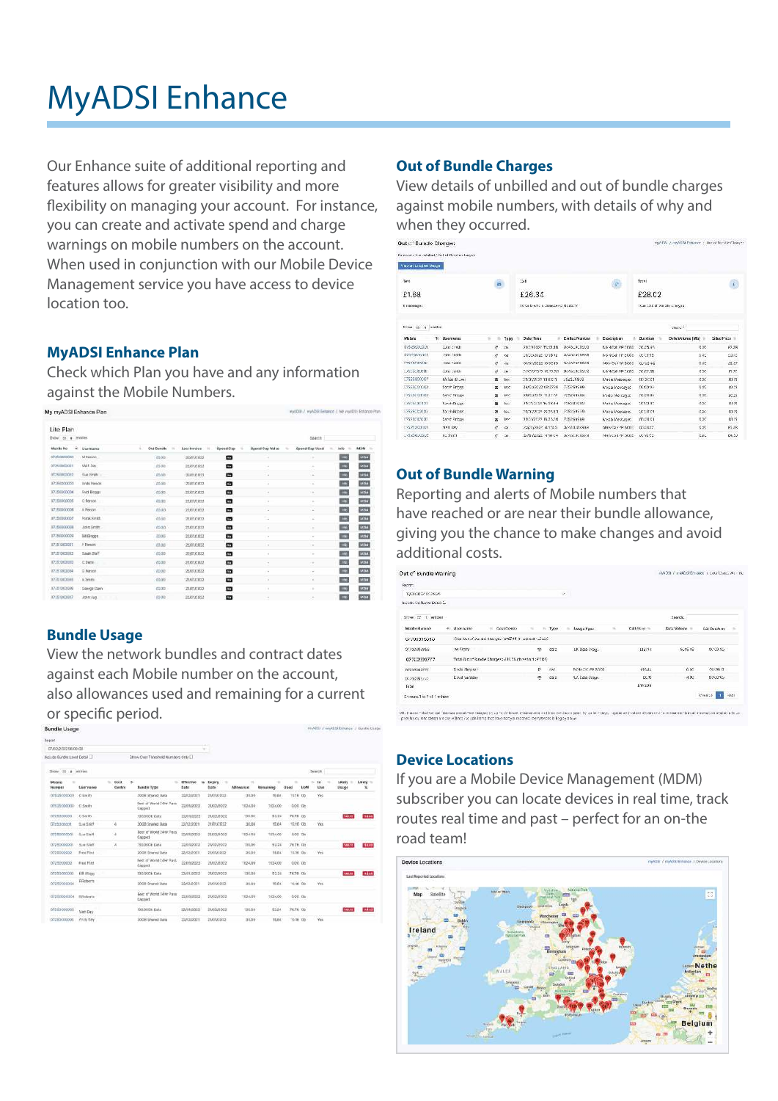# MyADSI Enhance

Our Enhance suite of additional reporting and features allows for greater visibility and more flexibility on managing your account. For instance, you can create and activate spend and charge warnings on mobile numbers on the account. When used in conjunction with our Mobile Device Management service you have access to device location too.

#### **MyADSI Enhance Plan**

Check which Plan you have and any information against the Mobile Numbers.

| My myADSI Enhance Plan          |                  |                          |                   |                |                          | reyADIB: / reyAD98 Extrance J. My resADIB: Extrance Plan |               |                  |
|---------------------------------|------------------|--------------------------|-------------------|----------------|--------------------------|----------------------------------------------------------|---------------|------------------|
| Lite Plan<br>Shine to a lentone |                  |                          |                   |                |                          | Search                                                   |               |                  |
| ÷.<br>Mobile No.                | Username         | u<br><b>Clut Bunukle</b> | Lost Invoice<br>٠ | Spend Cap<br>w | <b>Spend Cap Volue</b>   | <b>Spend Cap Used</b>                                    | into          | <b>MDM</b><br>16 |
| 07250000000                     | M Person         | 02.00                    | 22/01/2022        | ۰              | $\sim$                   | ٠                                                        | $= 0$         | <b>MOVE</b>      |
| 07250000001                     | Welt:Day         | 69.00                    | 22401/2022        | ۰              | $\sim$                   | $\sim$                                                   | mb.           | <b>MOM</b>       |
| 07250000002                     | Siat Smith -     | 85.00                    | 22/01/2022        | o              | $\sim$                   | ×                                                        | <b>THE</b>    | <b>NOM</b>       |
| 1072500000000                   | Andy Person      | 40.00                    | 22/01/2022        | o              | u                        | ×                                                        | <b>IRC</b>    | <b>AIDIA</b>     |
| 07250000004                     | Fred Bloggit     | 0000                     | 22/01/2022        | o              | $\sim$                   | ×                                                        | 暗             | WD4+             |
| 17251000006                     | C Percon         | 00.00                    | 22/01/3022        | ۰              | $\alpha$                 | $\sim$                                                   | $\rightarrow$ | <b>AISH</b>      |
| 17251010006                     | A Person.        | 80.00                    | 22/01/3022        | ۰              | ı                        | ×                                                        | $\frac{1}{2}$ | <b>AIDM</b>      |
| 1172500000007                   | Fork Smith       | 00.00                    | 2230102022        | ø              | ÷.                       | ×                                                        | <b>IRC</b>    | <b>AISA</b>      |
| 117350000008                    | Join Smith       | cong                     | 22/01/2022        | ▫              | ٠                        | $\sim$                                                   | $\rightarrow$ | <b>ACCES</b>     |
| 1172513000000                   | <b>Bit Roggi</b> | 70.05                    | 22801/1022        | œ              | $\overline{\phantom{a}}$ | ٠                                                        | ink.          | <b>NIGHT</b>     |
| 117253000001                    | # Person         | £5.00                    | 22/01/2022        | ۰              | $\sim$                   | $\sim$                                                   | $\Rightarrow$ | <b>NGH</b>       |
| 17251000002                     | Sarah Staff      | 00.00                    | 11/01/01/23       | ¢              | $\alpha$                 | ٠                                                        | 196           | <b>AUGUS</b>     |
| 117253000000                    | C.Derre          | 00.00                    | 22/01/2022        | ۰              | ٠                        | ÷                                                        | m.            | <b>MDM</b>       |
| 87251000004                     | <b>D Person</b>  | epipe                    | 22/01/2022        | ▩              | $\sim$                   | $\sim$                                                   | <b>Info</b>   | <b>NOM</b>       |
| 07251000505                     | A brains         | 03.00                    | 22/01/2022        | ▭              | ×                        | ×                                                        | $\rightarrow$ | <b>NOW</b>       |
| 17251000006                     | Glenge Carin     | 02.02                    | 22/01/2022        | ▣              | $\sim$                   | $\sim$                                                   | $\rightarrow$ | <b>A/DNE</b>     |
| 17251000007                     | John Jug.        | 60.00                    | 22/01/2022        | ▣              |                          |                                                          | <b>Info</b>   | <b>AGHT</b>      |

#### **Bundle Usage**

View the network bundles and contract dates against each Mobile number on the account, also allowances used and remaining for a current or specific period.

| and the transport of the country of an |                  |                 |                                     |                   |   |                              |                                   |                       |           |       | 97 N                |            |                 |                        |
|----------------------------------------|------------------|-----------------|-------------------------------------|-------------------|---|------------------------------|-----------------------------------|-----------------------|-----------|-------|---------------------|------------|-----------------|------------------------|
| <b>Beport</b>                          |                  |                 |                                     |                   |   |                              |                                   |                       |           |       |                     |            |                 |                        |
| 07/02/2022 06:00:08                    |                  |                 |                                     |                   | u |                              |                                   |                       |           |       |                     |            |                 |                        |
| Inicia de Rundie Laivel Detail         |                  |                 | Show Over Threshold Numbers Only    |                   |   |                              |                                   |                       |           |       |                     |            |                 |                        |
| Show 50 a lettres                      |                  |                 |                                     |                   |   |                              |                                   |                       |           |       | Seerch              |            |                 |                        |
| bloisie<br>٠<br>Hunder                 | Username         | Cost<br>Centre. | ٠<br><b>Bundle Type:</b>            | Effective<br>Date | ٠ | Expiry<br>74<br><b>Diane</b> | $\rightarrow$<br><b>Alliancia</b> | ٠<br><b>Remaining</b> | ٠<br>Used | LIGAN | ĸ<br>1n <sup></sup> | ٠<br>Use   | Likely<br>Usine | Likety<br>$\mathbf{x}$ |
| 02525000000                            | O Say 2h         |                 | 300k Shared Data                    | 20/12/2021        |   | 250012022                    | 9999                              | 19.04                 | T016 Ob   |       |                     | Yes        |                 |                        |
| 07525000000                            | O Smith          |                 | Rest of Werld 24Hr Pass<br>Cappert  | 22/01/2022        |   | 21/07/2022                   | 1024.00                           | 1024.00               | D.CO CE   |       |                     |            |                 |                        |
| 0725300000                             | <b>O.Smith</b>   |                 | 130,000b Oata                       | 22/01/2022        |   | 23/02/2022                   | 130.00                            | 53,24                 | 76.75 06  |       |                     |            | 146.17          | 716.05                 |
| EF25000001                             | Sue Staff        | ä               | 3038 Shared Data                    | 33/12/2021        |   | 21/01/2022                   | 30.00                             | 15.84                 | 10.16 GB  |       |                     | Yes        |                 |                        |
| 07350000001                            | Suite Staff      | a.              | Rest of World 24Hr Pass<br>Canpot   | 32/01/2022        |   | 31802/2022                   | 1024.00                           | 1034.00               | 8.00 Gb   |       |                     |            |                 |                        |
| (07250000001)                          | Sive Staff       | ×               | 130,00 Cb Data:                     | 22/01/2022        |   | 23/00/2022                   | 120,00                            | 53.24                 | 76.76 CO  |       |                     |            | 149.72          | <b>HAM</b>             |
| 0735000002                             | Frid Fist        |                 | 20GB Shaned Data                    | 32/12/2021        |   | 2130/12022                   | 30.00                             | $f$ R.B.d.            | TOOK DE   |       |                     | <b>Yes</b> |                 |                        |
| 0725500002                             | <b>Fred Film</b> |                 | Rest of 'mond 24Hr Rass<br>Casped   | 32109/2022        |   | 21/02/2022                   | 1024.00                           | 1024.00               | 0.00 Ct   |       |                     |            |                 |                        |
| 07210003003                            | 0.8. (Form)      |                 | 130,000h Cata                       | 22/01/2022        |   | 23002/2022                   | 120,00                            | 53.24                 | 76.75 Ch  |       |                     |            | 108,22          | 116.467                |
| 07250000004                            | <b>RRoberts</b>  |                 | 3908 Shared Data                    | 32/12/2021        |   | 2180122003                   | 39.00                             | 59.94                 | 10:36 CD  |       |                     | Yes.       |                 |                        |
| 0725000004                             | <b>ESclorts</b>  |                 | Baid of World Silver Page<br>Capped | 22303/2022        |   | 23802/2022                   | 1024/20                           | 1024.00               | D.OD CB:  |       |                     |            |                 |                        |
| 07250000005                            | Marri Day        |                 | 130,000b Data                       | 22/01/2022        |   | 2380022022                   | 100.00                            | 5324                  | 76.76 CO  |       |                     |            | <b>LASTE</b>    | 04.45                  |
| 07250000001                            | Analy Day        |                 | 3008 Shared Date                    | 33/12/2021        |   | 23/03/2022                   | 30.00                             | 19,64                 | 10:36 00  |       |                     | <b>Yes</b> |                 |                        |

#### **Out of Bundle Charges**

View details of unbilled and out of bundle charges against mobile numbers, with details of why and when they occurred.

| epADS: 2 myADSI Prinates y Dur of Richle Change<br>£28.02<br>tuar. Del af barolle aranges. | $\Gamma_{\rm CO}$ |
|--------------------------------------------------------------------------------------------|-------------------|
|                                                                                            |                   |
|                                                                                            |                   |
|                                                                                            |                   |
|                                                                                            |                   |
|                                                                                            |                   |
|                                                                                            |                   |
| 204%                                                                                       |                   |
| Date Volume (Mb)                                                                           | Sithed Prize      |
| GOC.                                                                                       | 67.38             |
| 600                                                                                        | 2072              |
| 6.00                                                                                       | 52.37             |
| 620                                                                                        | F17C              |
| <b>CDC</b>                                                                                 | 311.27            |
| 6.05                                                                                       | (9.2)             |
| che.                                                                                       | 00:29             |
| <b>QSC</b>                                                                                 | 40.27             |
| esc                                                                                        | \$11.22           |
| it no                                                                                      | FO.21             |
| 0.05                                                                                       | 66.38             |
| 026                                                                                        | C4.EU             |
|                                                                                            |                   |

#### **Out of Bundle Warning**

Reporting and alerts of Mobile numbers that have reached or are near their bundle allowance, giving you the chance to make changes and avoid additional costs.

| Out of Bundle Warning          |                |                                                          |              |          |                 |        |            | WADELY WARRANT ARE IT LAW LOAN, WE THE |              |      |
|--------------------------------|----------------|----------------------------------------------------------|--------------|----------|-----------------|--------|------------|----------------------------------------|--------------|------|
| Partner:                       |                |                                                          |              |          |                 |        |            |                                        |              |      |
| WASHARD RADIO WE               |                |                                                          |              |          | $\mathcal{L}$ : |        |            |                                        |              |      |
| assigned that Lever Detail (1) |                |                                                          |              |          |                 |        |            |                                        |              |      |
| Show If the lenisles.          |                |                                                          |              |          |                 |        |            | Seeds:                                 |              |      |
| Mobile ticroser                | e diser name   | Cost Centre<br>×                                         | 16<br>n.     | Type     | United True     | $\sim$ | Coll-Price | Dara Volume III                        | CAI Duration | ٠    |
| 07733995086                    |                | fotal det of Bundle Charges - 202714 (1 restroit) 15.000 |              |          |                 |        |            |                                        |              |      |
| 07700905855                    | withing        |                                                          | $\circ$      | ditt     | DK Data Usau.   |        | 112714     | 9,95.45                                | 0.1995       |      |
| 07703599777                    |                | Total Gut of Randie Chames: 238.56 (threshold: £5.00).   |              |          |                 |        |            |                                        |              |      |
| N70CRAINTY                     | Device Simpson |                                                          | $\mathbf{r}$ | ra't     | NON CALIFRONIA  |        | CIGAL      | 0.00                                   | 00:38:15     |      |
| 07700993222                    | Esset Sergeon  |                                                          | ÷            | $q_{21}$ | UK Cata Usiera  |        | 121.72     | $-4.91$                                | 03/00/02     |      |
| fotal                          |                |                                                          |              |          |                 |        | 3143.20    |                                        |              |      |
| Showard to 2 of 2 wither       |                |                                                          |              |          |                 |        |            |                                        | Reading      | Heal |

#### **Device Locations**

If you are a Mobile Device Management (MDM) subscriber you can locate devices in real time, track routes real time and past – perfect for an on-the road team!

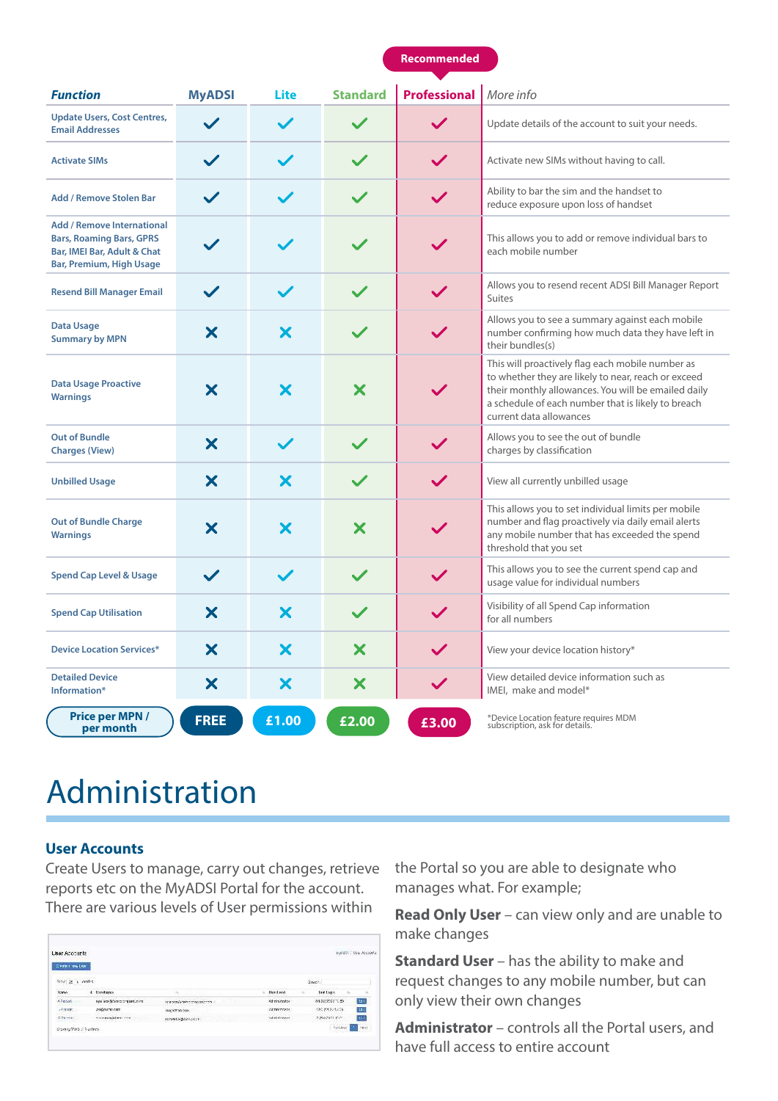#### **Recommended**

| <b>Function</b>                                                                                                                 | <b>MyADSI</b> | Lite         | <b>Standard</b>   | <b>Professional</b> | More info                                                                                                                                                                                                                                       |
|---------------------------------------------------------------------------------------------------------------------------------|---------------|--------------|-------------------|---------------------|-------------------------------------------------------------------------------------------------------------------------------------------------------------------------------------------------------------------------------------------------|
| <b>Update Users, Cost Centres,</b><br><b>Email Addresses</b>                                                                    |               |              |                   |                     | Update details of the account to suit your needs.                                                                                                                                                                                               |
| <b>Activate SIMs</b>                                                                                                            | $\checkmark$  |              |                   | $\checkmark$        | Activate new SIMs without having to call.                                                                                                                                                                                                       |
| <b>Add / Remove Stolen Bar</b>                                                                                                  |               |              |                   | $\checkmark$        | Ability to bar the sim and the handset to<br>reduce exposure upon loss of handset                                                                                                                                                               |
| <b>Add / Remove International</b><br><b>Bars, Roaming Bars, GPRS</b><br>Bar, IMEI Bar, Adult & Chat<br>Bar, Premium, High Usage |               |              |                   |                     | This allows you to add or remove individual bars to<br>each mobile number                                                                                                                                                                       |
| <b>Resend Bill Manager Email</b>                                                                                                | $\checkmark$  | $\checkmark$ |                   | $\checkmark$        | Allows you to resend recent ADSI Bill Manager Report<br><b>Suites</b>                                                                                                                                                                           |
| <b>Data Usage</b><br><b>Summary by MPN</b>                                                                                      | X             | X            |                   |                     | Allows you to see a summary against each mobile<br>number confirming how much data they have left in<br>their bundles(s)                                                                                                                        |
| <b>Data Usage Proactive</b><br><b>Warnings</b>                                                                                  | X             | X            | $\bm{\mathsf{x}}$ |                     | This will proactively flag each mobile number as<br>to whether they are likely to near, reach or exceed<br>their monthly allowances. You will be emailed daily<br>a schedule of each number that is likely to breach<br>current data allowances |
| <b>Out of Bundle</b><br><b>Charges (View)</b>                                                                                   | X             | $\checkmark$ |                   |                     | Allows you to see the out of bundle<br>charges by classification                                                                                                                                                                                |
| <b>Unbilled Usage</b>                                                                                                           | X             | X            |                   | $\checkmark$        | View all currently unbilled usage                                                                                                                                                                                                               |
| <b>Out of Bundle Charge</b><br><b>Warnings</b>                                                                                  | X             | Х            | X                 |                     | This allows you to set individual limits per mobile<br>number and flag proactively via daily email alerts<br>any mobile number that has exceeded the spend<br>threshold that you set                                                            |
| <b>Spend Cap Level &amp; Usage</b>                                                                                              | $\checkmark$  |              |                   |                     | This allows you to see the current spend cap and<br>usage value for individual numbers                                                                                                                                                          |
| <b>Spend Cap Utilisation</b>                                                                                                    | X             | X            | $\checkmark$      | $\checkmark$        | Visibility of all Spend Cap information<br>for all numbers                                                                                                                                                                                      |
| <b>Device Location Services*</b>                                                                                                | X             | Х            | Х                 |                     | View your device location history*                                                                                                                                                                                                              |
| <b>Detailed Device</b><br>Information*                                                                                          | X             | X            | X                 | $\checkmark$        | View detailed device information such as<br>IMEI, make and model*                                                                                                                                                                               |
| <b>Price per MPN/</b><br>per month                                                                                              | <b>FREE</b>   | £1.00        | £2.00             | £3.00               | *Device Location feature requires MDM<br>subscription, ask for details.                                                                                                                                                                         |

### Administration

#### **User Accounts**

Create Users to manage, carry out changes, retrieve reports etc on the MyADSI Portal for the account. There are various levels of User permissions within

| Create + send like *               |                                  |                            |                                      |                  | 보위 친구들은 사람들은 아이들은 말을 하기 |
|------------------------------------|----------------------------------|----------------------------|--------------------------------------|------------------|-------------------------|
| Stow is a centre                   |                                  |                            |                                      | Gaster.          |                         |
| <b>A select Price of</b><br>hanno. | <b>CONTRACTOR</b><br>4 Userheen- |                            | <b>STATISTICS</b><br><b>Harrison</b> | Last Log n       |                         |
| A Person                           | motuway reserved cracked         | announcement company, com- | Administrator                        | 01/02/2002 13:50 | tay.                    |
| $+7115$ FF                         | proGelama care                   | orandemo dobi              | Administrator:                       | 120300323208     | (Can                    |
| C.Parents<br>98025-1211            | STONEWAGERST CTR.                | assembly creaters.         | combiners<br>24 T 2014 - 11 97 1     | 20/20/2022 13:21 | $64$                    |
| stowing 1 to 5 of 9 artists.       |                                  |                            |                                      | heliers          | Pack.                   |

the Portal so you are able to designate who manages what. For example;

**Read Only User** – can view only and are unable to make changes

**Standard User** – has the ability to make and request changes to any mobile number, but can only view their own changes

**Administrator** – controls all the Portal users, and have full access to entire account